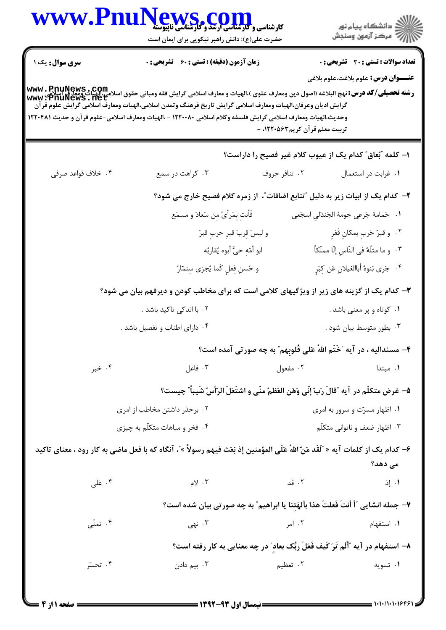| <b>زمان آزمون (دقیقه) : تستی : 60 ٪ تشریحی : 0</b>                              | گرایش ادیان وعرفان،الهیات ومعارف اسلامی گرایش تاریخ فرهنگ وتمدن اسلامی،الهیات ومعارف اسلامی گرایش علوم قرآن<br>وحديث،الهيات ومعارف اسلامي گرايش فلسفه وكلام اسلامي ١٢٢٠٠٨٠ - ،الهيات ومعارف اسلامي-علوم قرآن و حديث ١٢٢٠٤٨١<br>تربیت معلم قرآن کریم۱۲۲۰۵۶۳ - | <b>تعداد سوالات : تستی : 30 ٪ تشریحی : 0</b><br><b>عنـــوان درس:</b> علوم بلاغت،علوم بلاغي<br>رشته تحصيلى/كد درس: نهج البلاغه (اصول دين ومعارف علوى )،الهيات و معارف اسلامى گرايش فقه ومبانى حقوق اسلامي،الهيات ومعارف اسلامي<br>www : PnuNews . net |  |  |
|---------------------------------------------------------------------------------|--------------------------------------------------------------------------------------------------------------------------------------------------------------------------------------------------------------------------------------------------------------|------------------------------------------------------------------------------------------------------------------------------------------------------------------------------------------------------------------------------------------------------|--|--|
|                                                                                 |                                                                                                                                                                                                                                                              |                                                                                                                                                                                                                                                      |  |  |
|                                                                                 |                                                                                                                                                                                                                                                              |                                                                                                                                                                                                                                                      |  |  |
|                                                                                 |                                                                                                                                                                                                                                                              | ا– كلمه "بُعاق" كدام يك از عيوب كلام غير فصيح را داراست؟                                                                                                                                                                                             |  |  |
|                                                                                 | ۰۲ تنافر حروف                                                                                                                                                                                                                                                | ٠١ غرابت در استعمال                                                                                                                                                                                                                                  |  |  |
| ۲–  کدام یک از ابیات زیر به دلیل "تتابع اضافات"، از زمره کلام فصیح خارج می شود؟ |                                                                                                                                                                                                                                                              |                                                                                                                                                                                                                                                      |  |  |
| فَأَنتِ بِمَرأَىً مِن سُعادَ و مسمَع                                            |                                                                                                                                                                                                                                                              | ١. حَمامةَ جَرعى حومةَ الجَندَلي اسجَعى                                                                                                                                                                                                              |  |  |
| و ليسَ قِربَ قبرِ حربٍ قبرٌ                                                     |                                                                                                                                                                                                                                                              | ٢.   و قبرُ حَربٍ بمكانٍ قَفرٍ                                                                                                                                                                                                                       |  |  |
| ابو أمّهِ حيٌّ أبوه يُقاربُه                                                    |                                                                                                                                                                                                                                                              | ٣. وما مثلُهُ في النّاسِ إلّا مملّكاً                                                                                                                                                                                                                |  |  |
| و حُسنِ فِعلٍ كَما يُجزى سِنمّارُ                                               |                                                                                                                                                                                                                                                              | ۴. جَرى بَنوهُ أباالغيلانِ عَن كِبَرٍ                                                                                                                                                                                                                |  |  |
|                                                                                 |                                                                                                                                                                                                                                                              | ۳- کدام یک از گزینه های زیر از ویژگیهای کلامی است که برای مخاطب کودن و دیرفهم بیان می شود؟                                                                                                                                                           |  |  |
|                                                                                 |                                                                                                                                                                                                                                                              | ۰۱ کوتاه و پر معنی باشد .                                                                                                                                                                                                                            |  |  |
|                                                                                 |                                                                                                                                                                                                                                                              | ۰۳ بطور متوسط بیان شود .                                                                                                                                                                                                                             |  |  |
|                                                                                 |                                                                                                                                                                                                                                                              | ۴- مسندالیه ، در آیه "خَتَم اللهُ عَلی قُلوبِهم" به چه صورتی آمده است؟                                                                                                                                                                               |  |  |
|                                                                                 | ۰۲ مفعول                                                                                                                                                                                                                                                     | ۰۱ مبتدا                                                                                                                                                                                                                                             |  |  |
|                                                                                 |                                                                                                                                                                                                                                                              | ۵– غرض متكلَّم در آيه ″قالَ رَبّ إنِّي وَهَن العَظمُ منَّى و اشتَعَلَ الرّأسُ شَيباً″ چيست؟                                                                                                                                                          |  |  |
| ۰۲ برحذر داشتن مخاطب از امری                                                    |                                                                                                                                                                                                                                                              | ۰۱ اظهار مسرّت و سرور به امری                                                                                                                                                                                                                        |  |  |
|                                                                                 |                                                                                                                                                                                                                                                              | ۰۳ اظهار ضعف و ناتوانی متکلّم                                                                                                                                                                                                                        |  |  |
|                                                                                 |                                                                                                                                                                                                                                                              | ۶– كدام يك از كلمات آيه « 'َلَقَد مَنّ اللهُ عَلَى المؤمنين إذ بَعَث فيهم رسولاً »'، آنگاه كه با فعل ماضى به كار رود ، معناى تاكيد                                                                                                                   |  |  |
|                                                                                 |                                                                                                                                                                                                                                                              | می دهد؟                                                                                                                                                                                                                                              |  |  |
|                                                                                 | ۰۲ قد                                                                                                                                                                                                                                                        | ۰۱ إذ                                                                                                                                                                                                                                                |  |  |
|                                                                                 |                                                                                                                                                                                                                                                              | ٧- جمله انشایی ″أ أنتَ فَعلتَ هذا بآلهَتِنا یا ابراهیم″ به چه صورتی بیان شده است؟                                                                                                                                                                    |  |  |
|                                                                                 | ۰۲ امر                                                                                                                                                                                                                                                       | ۰۱ استفهام                                                                                                                                                                                                                                           |  |  |
|                                                                                 |                                                                                                                                                                                                                                                              |                                                                                                                                                                                                                                                      |  |  |
|                                                                                 |                                                                                                                                                                                                                                                              | ۰۱ تسویه                                                                                                                                                                                                                                             |  |  |
|                                                                                 |                                                                                                                                                                                                                                                              | ۸– استفهام در آیه "أَلَم تَرَ کَیف فَعَلَ ربُّک بعاد" در چه معنایی به کار رفته است؟<br>۲. تعظیم                                                                                                                                                      |  |  |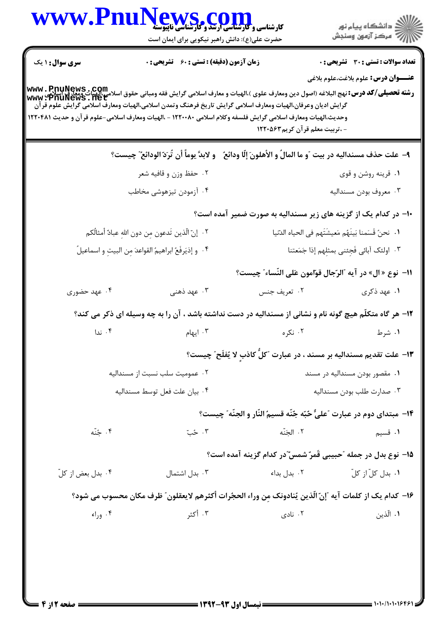| <b>WWW.P</b>                                                                                                                                                                                                                                                                                                                                                                          | کارشناسی و کارشناسی ارتئاد و گاریلی کال<br>کارشناسی و کارشناسی ارتئاد و گارشناسی ناپیوسته<br>حضرت علی(ع): دانش راهبر نیکویی برای ایمان است |                                                                        | ڪ دانشڪاه پيا <sub>م</sub> نور<br>ر <i>7</i> مرڪز آزمون وسنڊش |
|---------------------------------------------------------------------------------------------------------------------------------------------------------------------------------------------------------------------------------------------------------------------------------------------------------------------------------------------------------------------------------------|--------------------------------------------------------------------------------------------------------------------------------------------|------------------------------------------------------------------------|---------------------------------------------------------------|
| <b>سری سوال : ۱ یک</b>                                                                                                                                                                                                                                                                                                                                                                | <b>زمان آزمون (دقیقه) : تستی : 60 ٪ تشریحی : 0</b>                                                                                         |                                                                        | <b>تعداد سوالات : تستی : 30 ٪ تشریحی : 0</b>                  |
| رشته تحصيلى/كد درس: نهج البلاغه (اصول دين ومعارف علوى )،الهيات و معارف اسلامى گرايش فقه ومبانى حقوق اسلامي،الهيات ومعارف اسلامي<br>Www : PnuNews . Net<br>گرایش ادیان وعرفان،الهیات ومعارف اسلامی گرایش تاریخ فرهنگ وتمدن اسلامی،الهیات ومعارف اسلامی گرایش علوم قرآن<br>وحديث،الهيات ومعارف اسلامي گرايش فلسفه وكلام اسلامي ١٢٢٠٠٨٠ - ،الهيات ومعارف اسلامي-علوم قرآن و حديث ١٢٢٠٤٨١ |                                                                                                                                            | - ،تربیت معلم قرآن کریم۱۲۲۰۵۶۳                                         | <b>عنـــوان درس:</b> علوم بلاغت،علوم بلاغي                    |
|                                                                                                                                                                                                                                                                                                                                                                                       | ٩– علت حذف مسنداليه در بيت ″و ما المالُ و الأهلونَ إلّا ودائع ٌ و لابدَّ يوماً أن تُرَدّ الودائع ؒ چيست؟                                   |                                                                        |                                                               |
|                                                                                                                                                                                                                                                                                                                                                                                       | ۰۲ حفظ وزن و قافیه شعر                                                                                                                     | ۰۱ قرینه روشن و قوی                                                    |                                                               |
|                                                                                                                                                                                                                                                                                                                                                                                       | ۰۴ آزمودن تیزهوشی مخاطب                                                                                                                    |                                                                        | ۰۳ معروف بودن مسنداليه                                        |
|                                                                                                                                                                                                                                                                                                                                                                                       |                                                                                                                                            | ۱۰– در کدام یک از گزینه های زیر مسندالیه به صورت ضمیر آمده است؟        |                                                               |
|                                                                                                                                                                                                                                                                                                                                                                                       | ٢. إنّ الّذين تَدعون مِن دون اللهِ عبادّ أمثالُكم                                                                                          |                                                                        | ٠١. نحنُ قَسَمنا بَينَهُم مَعيشَتَهم في الحياه الدّنيا        |
|                                                                                                                                                                                                                                                                                                                                                                                       | ۴. وإذيَرفَعُ ابراهيمُ القواعدَ مِن البيتِ واسماعيلُ                                                                                       |                                                                        | ٣. اولئک آبائی فَجِئنی بمثلِهم إذا جَمَعتنا                   |
|                                                                                                                                                                                                                                                                                                                                                                                       |                                                                                                                                            | 11−  نوع « ال» در آيه ″الرّجال قوّامون عَلى النّساء″ چيست؟             |                                                               |
| ۰۴ عهد حضوری                                                                                                                                                                                                                                                                                                                                                                          | ۰۳ عهد ذهنی                                                                                                                                | ٠٢ تعريف جنس                                                           | ۰۱ عهد ذکری                                                   |
|                                                                                                                                                                                                                                                                                                                                                                                       | ۱۲- هر گاه متکلّم هیچ گونه نام و نشانی از مسندالیه در دست نداشته باشد ، آن را به چه وسیله ای ذکر می کند؟                                   |                                                                        |                                                               |
| ۰۴ ندا                                                                                                                                                                                                                                                                                                                                                                                | ۰۳ ایهام                                                                                                                                   | ۰۲ نکره                                                                | ۰۱ شرط                                                        |
|                                                                                                                                                                                                                                                                                                                                                                                       |                                                                                                                                            | ۱۳– علت تقدیم مسندالیه بر مسند ، در عبارت "کلّ کاذب لا یُفلَح ؒ چیست؟  |                                                               |
|                                                                                                                                                                                                                                                                                                                                                                                       | ٠٢ عموميت سلب نسبت از مسنداليه                                                                                                             |                                                                        | ۰۱ مقصور بودن مسنداليه در مسند                                |
|                                                                                                                                                                                                                                                                                                                                                                                       | ۰۴ بيان علت فعل توسط مسنداليه                                                                                                              |                                                                        | ۰۳ صدارت طلب بودن مسنداليه                                    |
|                                                                                                                                                                                                                                                                                                                                                                                       |                                                                                                                                            | 1۴- مبتداي دوم در عبارت ″عليٌّ حٌبّه جُنّه قسيم النّار و الجنّه″ چيست؟ |                                                               |
| ۰۴ ځته                                                                                                                                                                                                                                                                                                                                                                                | ۰۳ ځت                                                                                                                                      | ٢. الجَنّه                                                             | ۰۱ قسیم                                                       |
|                                                                                                                                                                                                                                                                                                                                                                                       |                                                                                                                                            | 1۵– نوع بدل در جمله "حبيبي قَمرٌ شمسٌ"در كدام گزينه آمده است؟          |                                                               |
| ۰۴ بدل بعض از کلّ                                                                                                                                                                                                                                                                                                                                                                     | ۰۳ بدل اشتمال                                                                                                                              | ۰۲ بدل بداء                                                            | ٠١. بدل كلّ از كلّ                                            |
|                                                                                                                                                                                                                                                                                                                                                                                       | ١۶– كدام يك از كلمات آيه "إنّ الّذين يُنادونك مِن وراء الحجُرات أكثرهم لايعقلون″ ظرف مكان محسوب مي شود؟                                    |                                                                        |                                                               |
| ۰۴ وراء                                                                                                                                                                                                                                                                                                                                                                               | ۰۳ أكثر                                                                                                                                    | ۰۲ نادی                                                                | ۰۱ الّذین                                                     |
|                                                                                                                                                                                                                                                                                                                                                                                       |                                                                                                                                            |                                                                        |                                                               |
|                                                                                                                                                                                                                                                                                                                                                                                       |                                                                                                                                            |                                                                        |                                                               |
| = صفحه 12ز 4                                                                                                                                                                                                                                                                                                                                                                          |                                                                                                                                            | ـــــــــــ نیمسال اول ۹۳-۱۳۹۲ ــــ                                    |                                                               |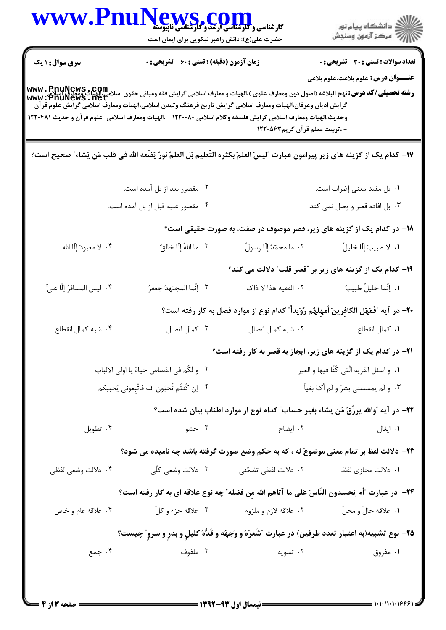| WWW.PnuNews.com                             | حضرت علی(ع): دانش راهبر نیکویی برای ایمان است                                                                                                                                                                                                                                                                                                                                         |                                                                                        | ِ<br>∭ دانشڪاه پيام نور<br>∭ مرڪز آزمون وسنڊش |
|---------------------------------------------|---------------------------------------------------------------------------------------------------------------------------------------------------------------------------------------------------------------------------------------------------------------------------------------------------------------------------------------------------------------------------------------|----------------------------------------------------------------------------------------|-----------------------------------------------|
| <b>سری سوال : ۱ یک</b>                      | <b>زمان آزمون (دقیقه) : تستی : 60 ٪ تشریحی : 0</b>                                                                                                                                                                                                                                                                                                                                    |                                                                                        | <b>تعداد سوالات : تستی : 30 ٪ تشریحی : 0</b>  |
|                                             | رشته تحصيلي/كد درس: نهج البلاغه (اصول دين ومعارف علوى )،الهيات و معارف اسلامي گرايش فقه ومباني حقوق اسلامي،الهيات ومعارف اسلامي<br>Www : PnuNews . net<br>گرایش ادیان وعرفان،الهیات ومعارف اسلامی گرایش تاریخ فرهنگ وتمدن اسلامی،الهیات ومعارف اسلامی گرایش علوم قرآن<br>وحديث،الهيات ومعارف اسلامي گرايش فلسفه وكلام اسلامي ١٢٢٠٠٨٠ - ،الهيات ومعارف اسلامي-علوم قرآن و حديث ١٢٢٠٤٨١ | - ،تربیت معلم قرآن کریم ۱۲۲۰۵۶۳                                                        | <b>عنـــوان درس:</b> علوم بلاغت،علوم بلاغي    |
|                                             | ١٧- كدام يك از گزينه هاي زير پيرامون عبارت "ليسَ العلمُ بكثره التّعليم بَل العلمُ نورُ يَضَعه الله في قلب مَن يَشاء ّ صحيح است؟                                                                                                                                                                                                                                                       |                                                                                        |                                               |
|                                             | ۰۲ مقصور بعد از بل آمده است.                                                                                                                                                                                                                                                                                                                                                          |                                                                                        | ٠١ بل مفيد معنى إضراب است.                    |
|                                             | ۰۴ مقصور عليه قبل از بل آمده است.                                                                                                                                                                                                                                                                                                                                                     |                                                                                        | ۰۳ بل افاده قصر و وصل نمی کند.                |
|                                             |                                                                                                                                                                                                                                                                                                                                                                                       | 1۸– در کدام یک از گزینه های زیر، قصر موصوف در صفت، به صورت حقیقی است؟                  |                                               |
| ۴ . لا معبودَ إلّا الله                     | ٠٣ ما اللهُ إِلَّا خالقٌ                                                                                                                                                                                                                                                                                                                                                              | ٢.  ما محمّدٌ إلّا رسولٌ                                                               | ٠١. لا طبيبَ إلّا خليلٌ                       |
|                                             |                                                                                                                                                                                                                                                                                                                                                                                       | ۱۹- کدام یک از گزینه های زیر بر "قصر قلب" دلالت می کند؟                                |                                               |
| ۴. ليس المسافرُ إلّا عليٌّ                  | ٢. إنّما المجتهدُ جعفرٌ                                                                                                                                                                                                                                                                                                                                                               | ٢. الفقيه هذا لا ذاك                                                                   | ٠١. إنّما خليلٌ طبيبٌ                         |
|                                             |                                                                                                                                                                                                                                                                                                                                                                                       | +٢- در آيه "فَمَهّل الكافرينَ أمهلهُم رُوَيداً" كدام نوع از موارد فصل به كار رفته است؟ |                                               |
| ۰۴ شبه کمال انقطاع                          | ۰۳ کمال اتصال                                                                                                                                                                                                                                                                                                                                                                         | ٠٢ شبه كمال اتصال                                                                      | ٠١ كمال انقطاع                                |
|                                             |                                                                                                                                                                                                                                                                                                                                                                                       | <b>۲۱</b> - در کدام یک از گزینه های زیر، ایجاز به قصر به کار رفته است؟                 |                                               |
| ٠٢ و لَكُم في القصاص حياهٌ يا اولى الالباب  |                                                                                                                                                                                                                                                                                                                                                                                       | ٠١. و اسئل القريه الَّتي كُنَّا فيها و العير                                           |                                               |
| ۴. إن كُنتُم تُحبّون الله فاتّبعوني يُحببكم |                                                                                                                                                                                                                                                                                                                                                                                       |                                                                                        | ۰۳ و لَم يَمسَسني بشرٌ و لَم أكُ بغياً        |
|                                             |                                                                                                                                                                                                                                                                                                                                                                                       | ٢٢- در آيه ،ّوالله يرزّقُ مَن يشاء بغير حساب ّ كدام نوع از موارد اطناب بيان شده است؟   |                                               |
| ۰۴ تطويل                                    | ۰۳ حشو                                                                                                                                                                                                                                                                                                                                                                                | ۰۲ ایضاح                                                                               | ۰۱ ایغال                                      |
|                                             | ٢٣- دلالت لفظ بر تمام معنى موضوعٌ له ، كه به حكم وضع صورت گرفته باشد چه ناميده مى شود؟                                                                                                                                                                                                                                                                                                |                                                                                        |                                               |
| ۰۴ دلالت وضعی لفظی                          |                                                                                                                                                                                                                                                                                                                                                                                       |                                                                                        | ۰۱ دلالت مجازی لفظ                            |
|                                             | ٢۴– در عبارت "أم يَحسدون النَّاسَ عَلى ما آتاهم الله مِن فضله" چه نوع علاقه اي به كار رفته است؟                                                                                                                                                                                                                                                                                       |                                                                                        |                                               |
| ۰۴ علاقه عام و خاص                          | ۰۳ علاقه جزء و کلّ                                                                                                                                                                                                                                                                                                                                                                    | ۰۲ علاقه لازم و ملزوم                                                                  | ٠١. علاقه حالّ و محلّ                         |
|                                             | ۲۵– نوع تشبیه(به اعتبار تعدد طرفین) در عبارت ″شَعرُهُ و وَجهُه و قَدُّهُ کلیلٍ و بدرٍ و سروٍ″ چیست؟                                                                                                                                                                                                                                                                                   |                                                                                        |                                               |
| ۰۴ جمع                                      | ۰۳ ملفوف                                                                                                                                                                                                                                                                                                                                                                              | ۰۲ تسویه                                                                               | ۰۱ مفروق                                      |